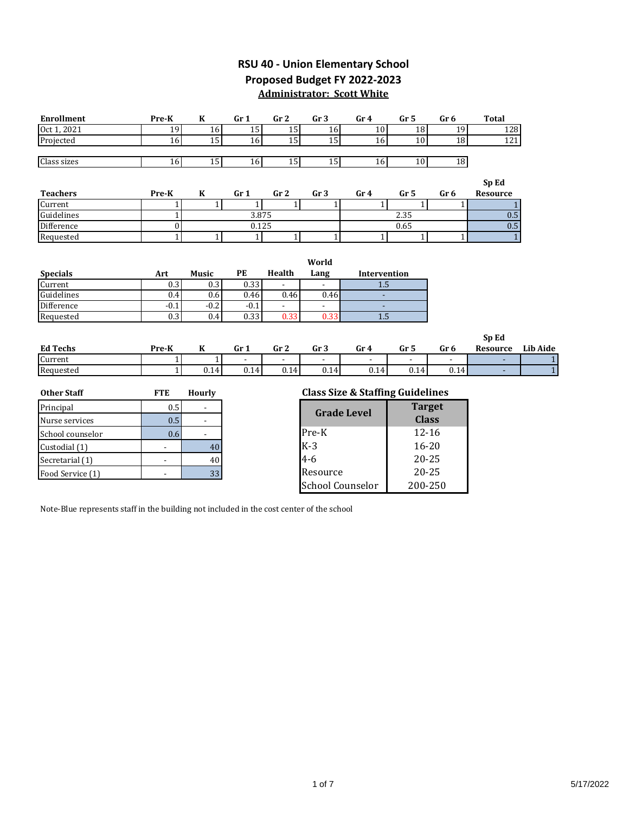# **RSU 40 - Union Elementary School Proposed Budget FY 2022-2023**

**Administrator: Scott White**

| <b>Enrollment</b>  | Pre-K                    | K                        | Gr <sub>1</sub> | Gr <sub>2</sub> | Gr <sub>3</sub>         | Gr <sub>4</sub>                             | Gr <sub>5</sub> | Gr <sub>6</sub> | <b>Total</b>             |                 |
|--------------------|--------------------------|--------------------------|-----------------|-----------------|-------------------------|---------------------------------------------|-----------------|-----------------|--------------------------|-----------------|
| Oct 1, 2021        | 19                       | 16                       | 15              | 15              | 16                      | 10                                          | 18              | 128<br>19       |                          |                 |
| Projected          | 16                       | 15                       | 16              | 15              | 15                      | 16                                          | 10              | 18<br>121       |                          |                 |
|                    |                          |                          |                 |                 |                         |                                             |                 |                 |                          |                 |
| Class sizes        | 16                       | 15                       | 16              | 15              | 15                      | 16                                          | 10              | 18              |                          |                 |
|                    |                          |                          |                 |                 |                         |                                             |                 |                 | Sp Ed                    |                 |
| <b>Teachers</b>    | Pre-K                    | K                        | Gr <sub>1</sub> | Gr <sub>2</sub> | Gr <sub>3</sub>         | Gr <sub>4</sub>                             | Gr <sub>5</sub> | Gr <sub>6</sub> | <b>Resource</b>          |                 |
| Current            | $1\vert$                 | $\mathbf{1}$             | $\mathbf{1}$    | $1\vert$        | 1                       | $\mathbf{1}$                                | 1               | $\mathbf{1}$    |                          |                 |
| Guidelines         | $1\overline{ }$          |                          | 3.875           |                 |                         |                                             | 2.35            |                 |                          | 0.5             |
| <b>Difference</b>  | $\mathbf{0}$             |                          | 0.125           |                 |                         |                                             | 0.65            |                 | $0.5\,$                  |                 |
| Requested          | $\overline{1}$           | $1\vert$                 | 1 <sup>1</sup>  | $1\overline{ }$ | 1                       | $\mathbf{1}$                                | 1               | $\mathbf{1}$    | $\mathbf{1}$             |                 |
|                    |                          |                          |                 |                 |                         |                                             |                 |                 |                          |                 |
|                    |                          |                          |                 |                 | World                   |                                             |                 |                 |                          |                 |
| <b>Specials</b>    | Art                      | <b>Music</b>             | PE              | Health          | Lang                    | Intervention                                |                 |                 |                          |                 |
| Current            | 0.3                      | 0.3                      | 0.33            |                 |                         | 1.5                                         |                 |                 |                          |                 |
| Guidelines         | 0.4                      | 0.6                      | 0.46            | 0.46            | 0.46                    |                                             |                 |                 |                          |                 |
| Difference         | $-0.1$                   | $-0.2$                   | $-0.1$          |                 |                         |                                             |                 |                 |                          |                 |
| Requested          | 0.3                      | 0.4                      | 0.33            | 0.33            | 0.33                    | 1.5                                         |                 |                 |                          |                 |
|                    |                          |                          |                 |                 |                         |                                             |                 |                 |                          |                 |
| <b>Ed Techs</b>    |                          |                          |                 |                 |                         |                                             |                 |                 | Sp Ed<br><b>Resource</b> | <b>Lib Aide</b> |
| Current            | Pre-K<br>1               | K<br>1                   | Gr <sub>1</sub> | Gr <sub>2</sub> | Gr <sub>3</sub>         | Gr <sub>4</sub>                             | Gr <sub>5</sub> | Gr <sub>6</sub> |                          | $\mathbf{1}$    |
| Requested          | 1 <sup>1</sup>           | 0.14                     | 0.14            | 0.14            | 0.14                    | 0.14                                        | 0.14            | 0.14            |                          | $\overline{1}$  |
|                    |                          |                          |                 |                 |                         |                                             |                 |                 |                          |                 |
| <b>Other Staff</b> | <b>FTE</b>               | <b>Hourly</b>            |                 |                 |                         | <b>Class Size &amp; Staffing Guidelines</b> |                 |                 |                          |                 |
| Principal          | 0.5                      | ۰                        |                 |                 |                         |                                             | <b>Target</b>   |                 |                          |                 |
| Nurse services     | 0.5                      | $\overline{\phantom{a}}$ |                 |                 |                         | <b>Grade Level</b>                          | <b>Class</b>    |                 |                          |                 |
| School counselor   | 0.6                      | $\blacksquare$           |                 |                 | Pre-K                   |                                             | $12 - 16$       |                 |                          |                 |
| Custodial (1)      | $\overline{a}$           | 40                       |                 |                 | $K-3$                   |                                             | $16 - 20$       |                 |                          |                 |
| Secretarial (1)    | $\blacksquare$           | 40                       |                 |                 | $4 - 6$                 |                                             | $20 - 25$       |                 |                          |                 |
| Food Service (1)   | $\overline{\phantom{a}}$ | 33                       |                 |                 | Resource                |                                             | $20 - 25$       |                 |                          |                 |
|                    |                          |                          |                 |                 | <b>School Counselor</b> |                                             | 200-250         |                 |                          |                 |

Note-Blue represents staff in the building not included in the cost center of the school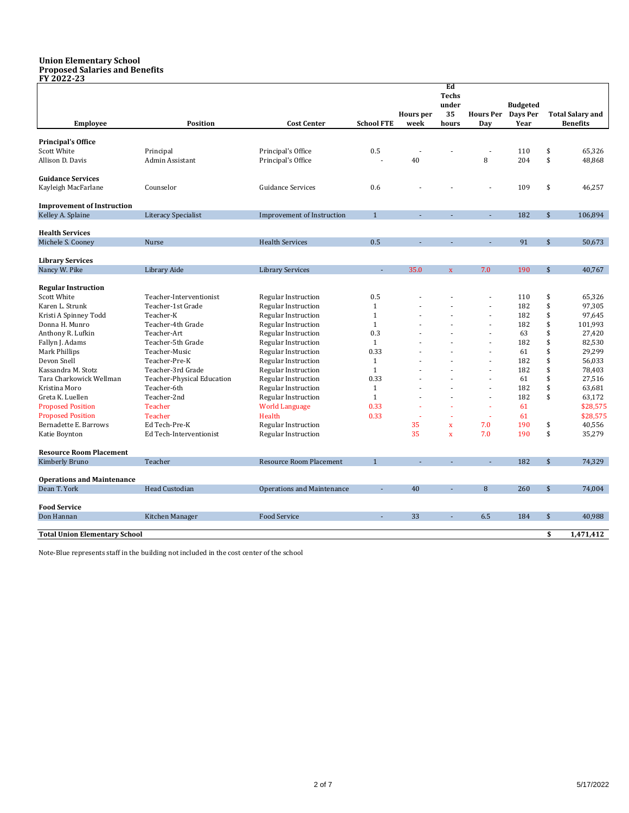#### **Union Elementary School Proposed Salaries and Benefits FY 2022-23**

|                                      |                            |                                   |                   |                  | Ed<br><b>Techs</b>      |                  |                 |                    |                         |
|--------------------------------------|----------------------------|-----------------------------------|-------------------|------------------|-------------------------|------------------|-----------------|--------------------|-------------------------|
|                                      |                            |                                   |                   |                  | under                   |                  | <b>Budgeted</b> |                    |                         |
|                                      |                            |                                   |                   | <b>Hours</b> per | 35                      | <b>Hours Per</b> | Days Per        |                    | <b>Total Salary and</b> |
| <b>Employee</b>                      | <b>Position</b>            | <b>Cost Center</b>                | <b>School FTE</b> | week             | hours                   | Dav              | Year            |                    | <b>Benefits</b>         |
|                                      |                            |                                   |                   |                  |                         |                  |                 |                    |                         |
| <b>Principal's Office</b>            |                            |                                   |                   |                  |                         |                  |                 |                    |                         |
| Scott White                          | Principal                  | Principal's Office                | 0.5               |                  |                         |                  | 110             | \$                 | 65,326                  |
| Allison D. Davis                     | Admin Assistant            | Principal's Office                |                   | 40               |                         | 8                | 204             | \$                 | 48,868                  |
| <b>Guidance Services</b>             |                            |                                   |                   |                  |                         |                  |                 |                    |                         |
| Kayleigh MacFarlane                  | Counselor                  | <b>Guidance Services</b>          | 0.6               |                  |                         |                  | 109             | \$                 | 46,257                  |
| <b>Improvement of Instruction</b>    |                            |                                   |                   |                  |                         |                  |                 |                    |                         |
| Kelley A. Splaine                    | <b>Literacy Specialist</b> | <b>Improvement of Instruction</b> | $\mathbf{1}$      |                  |                         |                  | 182             | $\mathsf{\$}$      | 106,894                 |
|                                      |                            |                                   |                   |                  |                         |                  |                 |                    |                         |
| <b>Health Services</b>               |                            |                                   |                   |                  |                         |                  |                 |                    |                         |
| Michele S. Cooney                    | Nurse                      | <b>Health Services</b>            | 0.5               |                  |                         |                  | 91              | $\mathbf{\hat{s}}$ | 50,673                  |
| <b>Library Services</b>              |                            |                                   |                   |                  |                         |                  |                 |                    |                         |
| Nancy W. Pike                        | Library Aide               | <b>Library Services</b>           |                   | 35.0             | $\mathbf{x}$            | 7.0              | 190             | \$                 | 40,767                  |
|                                      |                            |                                   |                   |                  |                         |                  |                 |                    |                         |
| <b>Regular Instruction</b>           |                            |                                   |                   |                  |                         |                  |                 |                    |                         |
| <b>Scott White</b>                   | Teacher-Interventionist    | <b>Regular Instruction</b>        | 0.5               |                  |                         |                  | 110             | \$                 | 65,326                  |
| Karen L. Strunk                      | Teacher-1st Grade          | <b>Regular Instruction</b>        | $\mathbf{1}$      |                  |                         |                  | 182             | \$                 | 97,305                  |
| Kristi A Spinney Todd                | Teacher-K                  | Regular Instruction               | $\mathbf{1}$      |                  |                         |                  | 182             | \$                 | 97,645                  |
| Donna H. Munro                       | Teacher-4th Grade          | <b>Regular Instruction</b>        | $\mathbf{1}$      |                  |                         |                  | 182             | \$                 | 101,993                 |
| Anthony R. Lufkin                    | Teacher-Art                | <b>Regular Instruction</b>        | 0.3               |                  |                         |                  | 63              | \$                 | 27,420                  |
| Fallyn J. Adams                      | Teacher-5th Grade          | Regular Instruction               | $\mathbf{1}$      |                  |                         |                  | 182             | \$                 | 82,530                  |
| Mark Phillips                        | Teacher-Music              | Regular Instruction               | 0.33              |                  |                         |                  | 61              | \$                 | 29,299                  |
| Devon Snell                          | Teacher-Pre-K              | <b>Regular Instruction</b>        | $1\,$             |                  |                         |                  | 182             | \$                 | 56,033                  |
| Kassandra M. Stotz                   | Teacher-3rd Grade          | Regular Instruction               | $\mathbf{1}$      |                  |                         |                  | 182             | \$                 | 78,403                  |
| Tara Charkowick Wellman              | Teacher-Physical Education | Regular Instruction               | 0.33              |                  |                         | ÷                | 61              | \$                 | 27,516                  |
| Kristina Moro                        | Teacher-6th                | Regular Instruction               | $\mathbf{1}$      |                  |                         |                  | 182             | \$                 | 63,681                  |
| Greta K. Luellen                     | Teacher-2nd                | Regular Instruction               | $\mathbf{1}$      |                  |                         | $\sim$           | 182             | \$                 | 63,172                  |
| <b>Proposed Position</b>             | <b>Teacher</b>             | <b>World Language</b>             | 0.33              |                  |                         | ÷.               | 61              |                    | \$28,575                |
| <b>Proposed Position</b>             | <b>Teacher</b>             | Health                            | 0.33              | ÷                |                         | $\mathbf{r}$     | 61              |                    | \$28,575                |
| Bernadette E. Barrows                | Ed Tech-Pre-K              | Regular Instruction               |                   | 35               | $\overline{\mathbf{x}}$ | 7.0              | 190             | \$                 | 40,556                  |
| Katie Boynton                        | Ed Tech-Interventionist    | <b>Regular Instruction</b>        |                   | 35               | $\mathbf x$             | 7.0              | 190             | \$                 | 35,279                  |
| <b>Resource Room Placement</b>       |                            |                                   |                   |                  |                         |                  |                 |                    |                         |
| Kimberly Bruno                       | Teacher                    | <b>Resource Room Placement</b>    | $\mathbf{1}$      |                  |                         |                  | 182             | $\frac{1}{2}$      | 74,329                  |
| <b>Operations and Maintenance</b>    |                            |                                   |                   |                  |                         |                  |                 |                    |                         |
| Dean T. York                         | Head Custodian             | <b>Operations and Maintenance</b> |                   | 40               |                         | 8                | 260             | \$                 | 74,004                  |
|                                      |                            |                                   |                   |                  |                         |                  |                 |                    |                         |
| <b>Food Service</b>                  |                            |                                   |                   |                  |                         |                  |                 |                    |                         |
| Don Hannan                           | Kitchen Manager            | <b>Food Service</b>               |                   | 33               |                         | 6.5              | 184             | \$                 | 40,988                  |
| <b>Total Union Elementary School</b> |                            |                                   |                   |                  |                         |                  |                 | \$                 | 1,471,412               |
|                                      |                            |                                   |                   |                  |                         |                  |                 |                    |                         |

Note-Blue represents staff in the building not included in the cost center of the school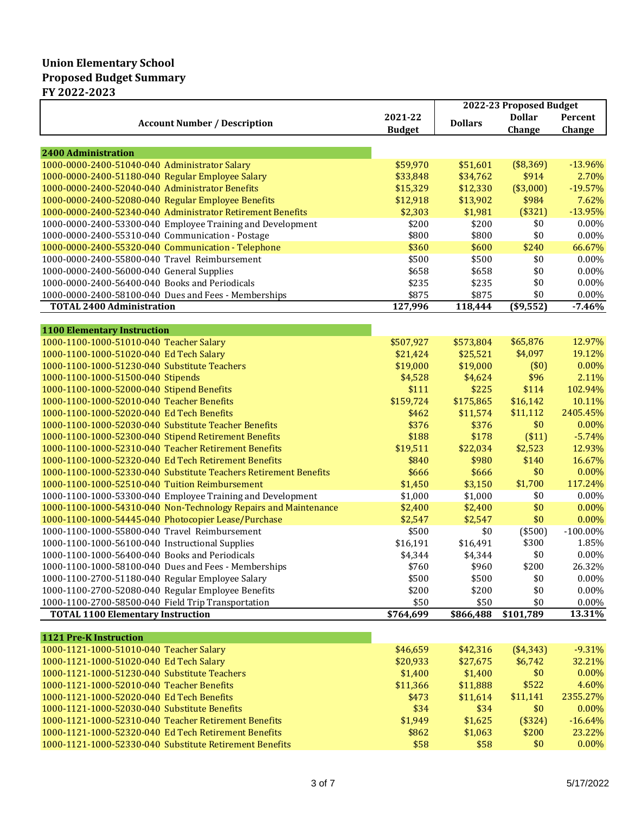|                                                                                                                        |                   | 2022-23 Proposed Budget |                    |                    |  |
|------------------------------------------------------------------------------------------------------------------------|-------------------|-------------------------|--------------------|--------------------|--|
| <b>Account Number / Description</b>                                                                                    | 2021-22           | <b>Dollars</b>          | <b>Dollar</b>      | Percent            |  |
|                                                                                                                        | <b>Budget</b>     |                         | Change             | Change             |  |
|                                                                                                                        |                   |                         |                    |                    |  |
| <b>2400 Administration</b>                                                                                             |                   |                         |                    |                    |  |
| 1000-0000-2400-51040-040 Administrator Salary                                                                          | \$59,970          | \$51,601                | (\$8,369)          | $-13.96%$          |  |
| 1000-0000-2400-51180-040 Regular Employee Salary                                                                       | \$33,848          | \$34,762                | \$914              | 2.70%              |  |
| 1000-0000-2400-52040-040 Administrator Benefits                                                                        | \$15,329          | \$12,330                | (\$3,000)          | $-19.57%$          |  |
| 1000-0000-2400-52080-040 Regular Employee Benefits<br>1000-0000-2400-52340-040 Administrator Retirement Benefits       | \$12,918          | \$13,902                | \$984              | 7.62%              |  |
|                                                                                                                        | \$2,303           | \$1,981                 | (\$321)<br>\$0     | $-13.95%$<br>0.00% |  |
| 1000-0000-2400-53300-040 Employee Training and Development                                                             | \$200<br>\$800    | \$200                   | \$0                | 0.00%              |  |
| 1000-0000-2400-55310-040 Communication - Postage                                                                       |                   | \$800                   | \$240              | 66.67%             |  |
| 1000-0000-2400-55320-040 Communication - Telephone<br>1000-0000-2400-55800-040 Travel Reimbursement                    | \$360<br>\$500    | \$600<br>\$500          |                    | 0.00%              |  |
|                                                                                                                        |                   |                         | \$0<br>\$0         |                    |  |
| 1000-0000-2400-56000-040 General Supplies                                                                              | \$658             | \$658                   | \$0                | 0.00%              |  |
| 1000-0000-2400-56400-040 Books and Periodicals                                                                         | \$235             | \$235                   |                    | $0.00\%$           |  |
| 1000-0000-2400-58100-040 Dues and Fees - Memberships                                                                   | \$875             | \$875                   | \$0                | $0.00\%$           |  |
| <b>TOTAL 2400 Administration</b>                                                                                       | 127,996           | 118,444                 | (\$9,552)          | $-7.46%$           |  |
| <b>1100 Elementary Instruction</b>                                                                                     |                   |                         |                    |                    |  |
| 1000-1100-1000-51010-040 Teacher Salary                                                                                | \$507,927         | \$573,804               | \$65,876           | 12.97%             |  |
| 1000-1100-1000-51020-040 Ed Tech Salary                                                                                | \$21,424          | \$25,521                | \$4,097            | 19.12%             |  |
| 1000-1100-1000-51230-040 Substitute Teachers                                                                           | \$19,000          | \$19,000                | (50)               | 0.00%              |  |
| 1000-1100-1000-51500-040 Stipends                                                                                      | \$4,528           | \$4,624                 | \$96               | 2.11%              |  |
| 1000-1100-1000-52000-040 Stipend Benefits                                                                              | \$111             | \$225                   | \$114              | 102.94%            |  |
| 1000-1100-1000-52010-040 Teacher Benefits                                                                              | \$159,724         | \$175,865               | \$16,142           | 10.11%             |  |
| 1000-1100-1000-52020-040 Ed Tech Benefits                                                                              |                   |                         | \$11,112           | 2405.45%           |  |
| 1000-1100-1000-52030-040 Substitute Teacher Benefits                                                                   | \$462<br>\$376    | \$11,574<br>\$376       | \$0                | 0.00%              |  |
|                                                                                                                        | \$188             | \$178                   |                    | $-5.74%$           |  |
| 1000-1100-1000-52300-040 Stipend Retirement Benefits<br>1000-1100-1000-52310-040 Teacher Retirement Benefits           |                   |                         | ( \$11)<br>\$2,523 | 12.93%             |  |
| 1000-1100-1000-52320-040 Ed Tech Retirement Benefits                                                                   | \$19,511<br>\$840 | \$22,034<br>\$980       | \$140              | 16.67%             |  |
| 1000-1100-1000-52330-040 Substitute Teachers Retirement Benefits                                                       | \$666             | \$666                   | \$0                | $0.00\%$           |  |
| 1000-1100-1000-52510-040 Tuition Reimbursement                                                                         | \$1,450           |                         | \$1,700            | 117.24%            |  |
|                                                                                                                        |                   | \$3,150                 | \$0                | $0.00\%$           |  |
| 1000-1100-1000-53300-040 Employee Training and Development                                                             | \$1,000           | \$1,000                 | \$0                |                    |  |
| 1000-1100-1000-54310-040 Non-Technology Repairs and Maintenance<br>1000-1100-1000-54445-040 Photocopier Lease/Purchase | \$2,400           | \$2,400                 |                    | 0.00%<br>$0.00\%$  |  |
| 1000-1100-1000-55800-040 Travel Reimbursement                                                                          | \$2,547           | \$2,547                 | \$0                | $-100.00\%$        |  |
|                                                                                                                        | \$500             | \$0                     | $(*500)$<br>\$300  |                    |  |
| 1000-1100-1000-56100-040 Instructional Supplies                                                                        | \$16,191          | \$16,491                | \$0                | 1.85%<br>0.00%     |  |
| 1000-1100-1000-56400-040 Books and Periodicals                                                                         | \$4,344           | \$4,344                 |                    |                    |  |
| 1000-1100-1000-58100-040 Dues and Fees - Memberships                                                                   | \$760             | \$960                   | \$200              | 26.32%             |  |
| 1000-1100-2700-51180-040 Regular Employee Salary                                                                       | \$500             | \$500                   | \$0                | 0.00%              |  |
| 1000-1100-2700-52080-040 Regular Employee Benefits                                                                     | \$200             | \$200                   | \$0                | 0.00%              |  |
| 1000-1100-2700-58500-040 Field Trip Transportation<br><b>TOTAL 1100 Elementary Instruction</b>                         | \$50<br>\$764,699 | \$50                    | \$0<br>\$101,789   | $0.00\%$<br>13.31% |  |
|                                                                                                                        |                   | \$866,488               |                    |                    |  |
| 1121 Pre-K Instruction                                                                                                 |                   |                         |                    |                    |  |
| 1000-1121-1000-51010-040 Teacher Salary                                                                                | \$46,659          | \$42,316                | (\$4,343)          | $-9.31%$           |  |
| 1000-1121-1000-51020-040 Ed Tech Salary                                                                                | \$20,933          | \$27,675                | \$6,742            | 32.21%             |  |
| 1000-1121-1000-51230-040 Substitute Teachers                                                                           | \$1,400           | \$1,400                 | \$0                | 0.00%              |  |
| 1000-1121-1000-52010-040 Teacher Benefits                                                                              | \$11,366          | \$11,888                | \$522              | 4.60%              |  |
| 1000-1121-1000-52020-040 Ed Tech Benefits                                                                              | \$473             | \$11,614                | \$11,141           | 2355.27%           |  |
| 1000-1121-1000-52030-040 Substitute Benefits                                                                           | \$34              | \$34                    | \$0                | 0.00%              |  |
| 1000-1121-1000-52310-040 Teacher Retirement Benefits                                                                   | \$1,949           | \$1,625                 | (\$324)            | $-16.64%$          |  |
| 1000-1121-1000-52320-040 Ed Tech Retirement Benefits                                                                   | \$862             | \$1,063                 | \$200              | 23.22%             |  |
| 1000-1121-1000-52330-040 Substitute Retirement Benefits                                                                | \$58              | \$58                    | \$0                | 0.00%              |  |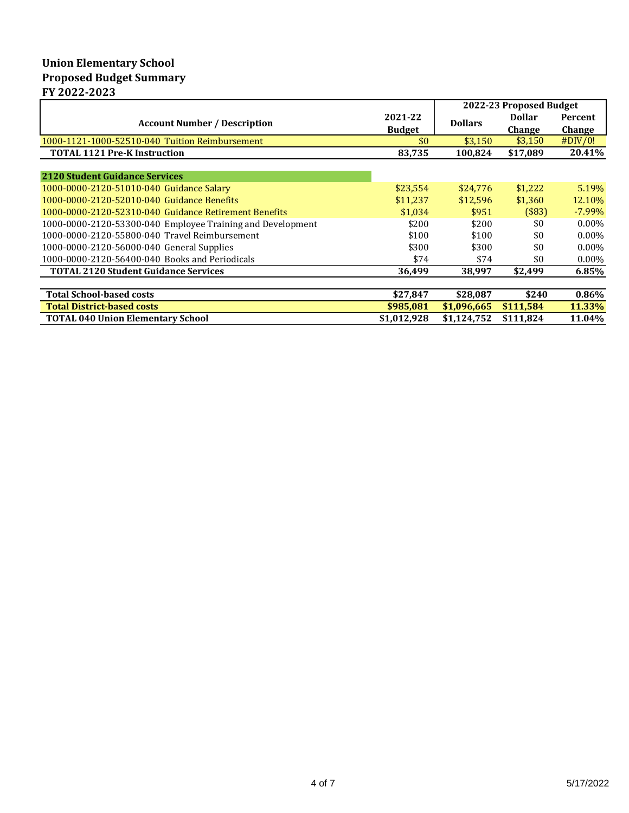# **Union Elementary School Proposed Budget Summary FY 2022-2023**

|                                                            |                          | 2022-23 Proposed Budget |                                |                          |
|------------------------------------------------------------|--------------------------|-------------------------|--------------------------------|--------------------------|
| <b>Account Number / Description</b>                        | 2021-22<br><b>Budget</b> | <b>Dollars</b>          | <b>Dollar</b><br><b>Change</b> | Percent<br><b>Change</b> |
| 1000-1121-1000-52510-040 Tuition Reimbursement             | \$0                      | \$3,150                 | \$3,150                        | #DIV/0!                  |
| <b>TOTAL 1121 Pre-K Instruction</b>                        | 83,735                   | 100,824                 | \$17,089                       | 20.41%                   |
| 2120 Student Guidance Services                             |                          |                         |                                |                          |
| 1000-0000-2120-51010-040 Guidance Salary                   | \$23,554                 | \$24,776                | \$1,222                        | 5.19%                    |
| 1000-0000-2120-52010-040 Guidance Benefits                 | \$11,237                 | \$12,596                | \$1,360                        | 12.10%                   |
| 1000-0000-2120-52310-040 Guidance Retirement Benefits      | \$1,034                  | \$951                   | $($ \$83)                      | $-7.99\%$                |
| 1000-0000-2120-53300-040 Employee Training and Development | \$200                    | \$200                   | \$0                            | $0.00\%$                 |
| 1000-0000-2120-55800-040 Travel Reimbursement              | \$100                    | \$100                   | \$0                            | $0.00\%$                 |
| 1000-0000-2120-56000-040 General Supplies                  | \$300                    | \$300                   | \$0                            | $0.00\%$                 |
| 1000-0000-2120-56400-040 Books and Periodicals             | \$74                     | \$74                    | \$0                            | $0.00\%$                 |
| <b>TOTAL 2120 Student Guidance Services</b>                | 36,499                   | 38,997                  | \$2,499                        | 6.85%                    |
|                                                            |                          |                         |                                |                          |
| <b>Total School-based costs</b>                            | \$27,847                 | \$28,087                | \$240                          | $0.86\%$                 |
| <b>Total District-based costs</b>                          | \$985,081                | \$1,096,665             | \$111,584                      | 11.33%                   |
| <b>TOTAL 040 Union Elementary School</b>                   | \$1,012,928              | \$1,124,752             | \$111,824                      | 11.04%                   |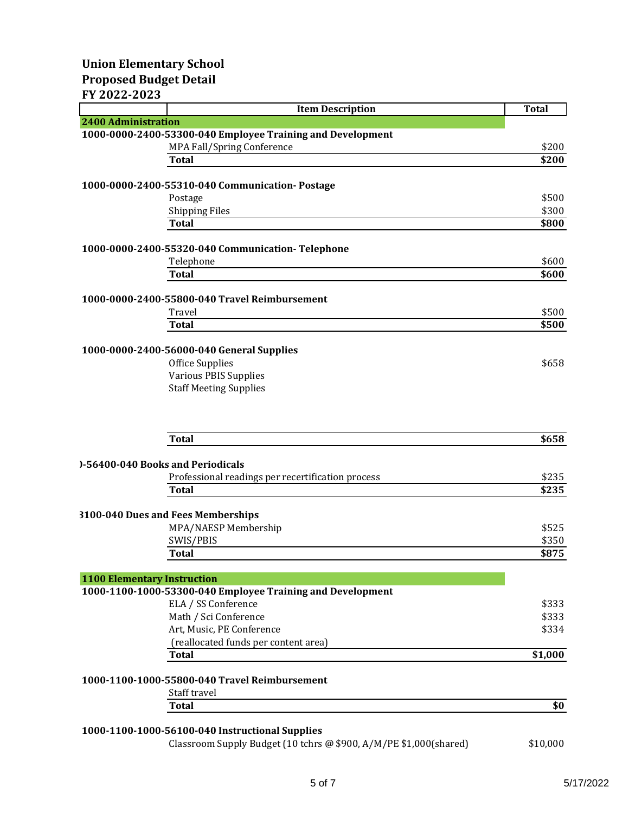### **FY 2022-2023**

|                            | <b>Item Description</b>                                    | <b>Total</b> |
|----------------------------|------------------------------------------------------------|--------------|
| <b>2400 Administration</b> |                                                            |              |
|                            | 1000-0000-2400-53300-040 Employee Training and Development |              |
|                            | MPA Fall/Spring Conference                                 | \$200        |
|                            | <b>Total</b>                                               | \$200        |
|                            | 1000-0000-2400-55310-040 Communication-Postage             |              |
|                            | Postage                                                    | \$500        |
|                            | <b>Shipping Files</b>                                      | \$300        |
|                            | <b>Total</b>                                               | \$800        |
|                            | 1000-0000-2400-55320-040 Communication-Telephone           |              |
|                            | Telephone                                                  | \$600        |
|                            | <b>Total</b>                                               | \$600        |
|                            | 1000-0000-2400-55800-040 Travel Reimbursement              |              |
|                            | Travel                                                     | \$500        |
|                            | <b>Total</b>                                               | \$500        |
|                            | 1000-0000-2400-56000-040 General Supplies                  |              |
|                            | Office Supplies                                            | \$658        |
|                            | <b>Various PBIS Supplies</b>                               |              |
|                            | <b>Staff Meeting Supplies</b>                              |              |
|                            | <b>Total</b>                                               | \$658        |
|                            |                                                            |              |
|                            | 0-56400-040 Books and Periodicals                          |              |
|                            | Professional readings per recertification process          | \$235        |
|                            | <b>Total</b>                                               | \$235        |
|                            | 3100-040 Dues and Fees Memberships                         |              |
|                            | MPA/NAESP Membership                                       | \$525        |
|                            | SWIS/PBIS                                                  | \$350        |
|                            | <b>Total</b>                                               | \$875        |
|                            | <b>1100 Elementary Instruction</b>                         |              |
|                            | 1000-1100-1000-53300-040 Employee Training and Development |              |
|                            | ELA / SS Conference                                        | \$333        |
|                            | Math / Sci Conference                                      | \$333        |
|                            | Art, Music, PE Conference                                  | \$334        |
|                            | (reallocated funds per content area)                       |              |
|                            | <b>Total</b>                                               | \$1,000      |
|                            | 1000-1100-1000-55800-040 Travel Reimbursement              |              |
|                            | Staff travel                                               |              |
|                            | <b>Total</b>                                               | \$0          |

# **1000-1100-1000-56100-040 Instructional Supplies**

| Classroom Supply Budget (10 tchrs @ \$900, A/M/PE \$1,000(shared) | \$10,000 |
|-------------------------------------------------------------------|----------|
|-------------------------------------------------------------------|----------|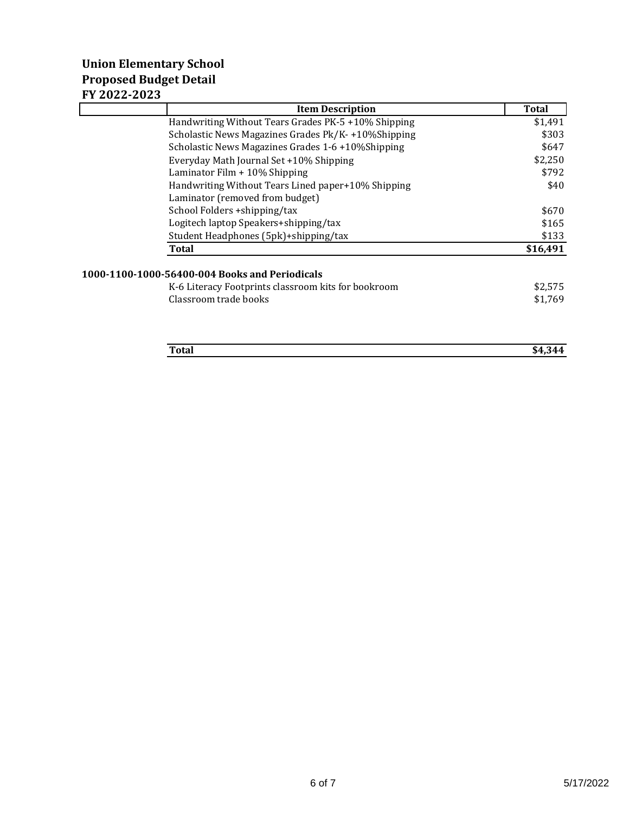# **Union Elementary School Proposed Budget Detail FY 2022-2023**

| <b>Item Description</b>                             | <b>Total</b> |
|-----------------------------------------------------|--------------|
| Handwriting Without Tears Grades PK-5 +10% Shipping | \$1,491      |
| Scholastic News Magazines Grades Pk/K-+10%Shipping  | \$303        |
| Scholastic News Magazines Grades 1-6 +10%Shipping   | \$647        |
| Everyday Math Journal Set +10% Shipping             | \$2,250      |
| Laminator Film $+10\%$ Shipping                     | \$792        |
| Handwriting Without Tears Lined paper+10% Shipping  | \$40         |
| Laminator (removed from budget)                     |              |
| School Folders + shipping/tax                       | \$670        |
| Logitech laptop Speakers+shipping/tax               | \$165        |
| Student Headphones (5pk)+shipping/tax               | \$133        |
| <b>Total</b>                                        | \$16,491     |
| 1000-1100-1000-56400-004 Books and Periodicals      |              |
| K-6 Literacy Footprints classroom kits for bookroom | \$2,575      |
| Classroom trade books                               | \$1,769      |
|                                                     |              |
| Total                                               | \$4,344      |